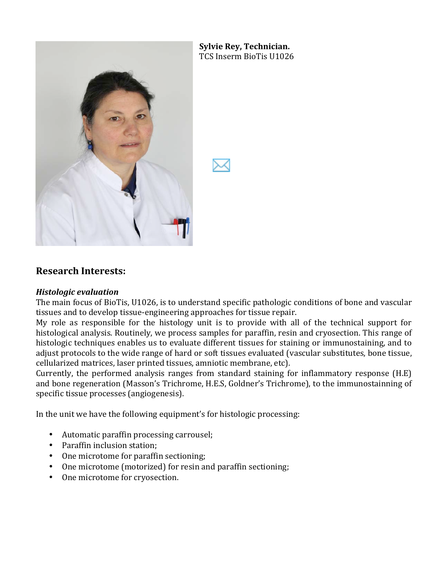

**Sylvie Rey, Technician.** TCS Inserm BioTis U1026

## **Research'Interests:**

## *Histologic!evaluation!*

The main focus of BioTis, U1026, is to understand specific pathologic conditions of bone and vascular tissues and to develop tissue-engineering approaches for tissue repair.

My role as responsible for the histology unit is to provide with all of the technical support for histological analysis. Routinely, we process samples for paraffin, resin and cryosection. This range of histologic techniques enables us to evaluate different tissues for staining or immunostaining, and to adjust protocols to the wide range of hard or soft tissues evaluated (vascular substitutes, bone tissue, cellularized matrices, laser printed tissues, amniotic membrane, etc).

Currently, the performed analysis ranges from standard staining for inflammatory response  $(H.E)$ and bone regeneration (Masson's Trichrome, H.E.S, Goldner's Trichrome), to the immunostainning of specific tissue processes (angiogenesis).

In the unit we have the following equipment's for histologic processing:

- Automatic paraffin processing carrousel;
- Paraffin inclusion station;
- One microtome for paraffin sectioning;
- One microtome (motorized) for resin and paraffin sectioning;
- One microtome for cryosection.